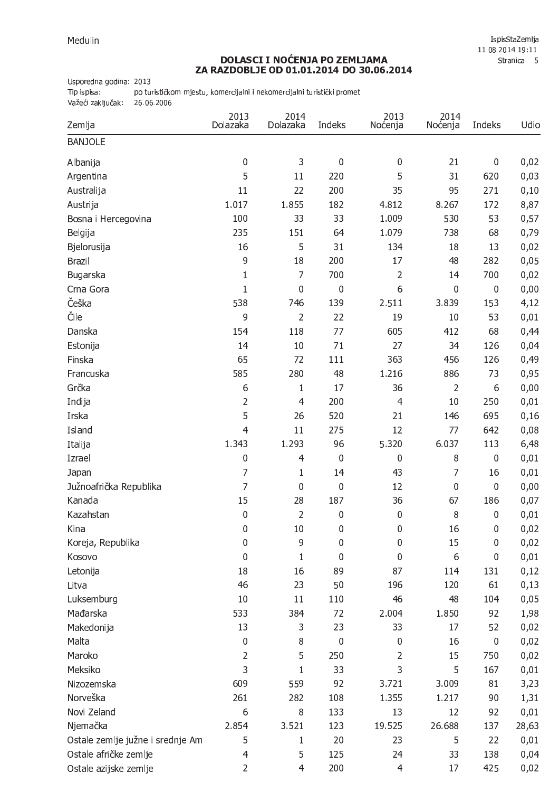## **DOLASCI I NOĆENJA PO ZEMLJAMA<br>ZA RAZDOBLJE OD 01.01.2014 DO 30.06.2014**

Usporedna godina: 2013

Tip ispisa: po turističkom mjestu, komercijalni i nekomercijalni turistički promet

Važeći zaključak: 26.06.2006

| Zemlja                           | 2013<br>Dolazaka | 2014<br>Dolazaka | Indeks      | 2013<br>Noćenja | 2014<br>Noćenja | Indeks      | Udio  |
|----------------------------------|------------------|------------------|-------------|-----------------|-----------------|-------------|-------|
| <b>BANJOLE</b>                   |                  |                  |             |                 |                 |             |       |
| Albanija                         | 0                | 3                | $\mathbf 0$ | $\mathbf 0$     | 21              | $\pmb{0}$   | 0,02  |
| Argentina                        | 5                | 11               | 220         | 5               | 31              | 620         | 0,03  |
| Australija                       | 11               | 22               | 200         | 35              | 95              | 271         | 0,10  |
| Austrija                         | 1.017            | 1.855            | 182         | 4.812           | 8.267           | 172         | 8,87  |
| Bosna i Hercegovina              | 100              | 33               | 33          | 1.009           | 530             | 53          | 0,57  |
| Belgija                          | 235              | 151              | 64          | 1.079           | 738             | 68          | 0,79  |
| Bjelorusija                      | 16               | 5                | 31          | 134             | 18              | 13          | 0,02  |
| <b>Brazil</b>                    | 9                | 18               | 200         | 17              | 48              | 282         | 0,05  |
| Bugarska                         | $\mathbf{1}$     | $\overline{7}$   | 700         | $\overline{2}$  | 14              | 700         | 0,02  |
| Crna Gora                        | $\mathbf{1}$     | 0                | $\mathbf 0$ | 6               | $\mathbf 0$     | $\mathbf 0$ | 0,00  |
| Češka                            | 538              | 746              | 139         | 2.511           | 3.839           | 153         | 4,12  |
| Čile                             | 9                | $\overline{2}$   | 22          | 19              | 10              | 53          | 0,01  |
| Danska                           | 154              | 118              | 77          | 605             | 412             | 68          | 0,44  |
| Estonija                         | 14               | 10               | 71          | 27              | 34              | 126         | 0,04  |
| Finska                           | 65               | 72               | 111         | 363             | 456             | 126         | 0,49  |
| Francuska                        | 585              | 280              | 48          | 1.216           | 886             | 73          | 0,95  |
| Grčka                            | 6                | $\mathbf{1}$     | 17          | 36              | $\overline{2}$  | 6           | 0,00  |
| Indija                           | $\overline{2}$   | $\overline{4}$   | 200         | $\overline{4}$  | 10              | 250         | 0,01  |
| Irska                            | 5                | 26               | 520         | 21              | 146             | 695         | 0,16  |
| Island                           | 4                | 11               | 275         | 12              | 77              | 642         | 0,08  |
| Italija                          | 1.343            | 1.293            | 96          | 5.320           | 6.037           | 113         | 6,48  |
| Izrael                           | 0                | $\overline{4}$   | $\mathbf 0$ | $\mathbf 0$     | 8               | $\mathbf 0$ | 0,01  |
| Japan                            | 7                | 1                | 14          | 43              | 7               | 16          | 0,01  |
| Južnoafrička Republika           | 7                | 0                | $\mathbf 0$ | 12              | $\mathbf 0$     | $\mathbf 0$ | 0,00  |
| Kanada                           | 15               | 28               | 187         | 36              | 67              | 186         | 0,07  |
| Kazahstan                        | $\mathbf 0$      | $\overline{2}$   | $\mathbf 0$ | $\mathbf 0$     | 8               | 0           | 0,01  |
| Kina                             | $\pmb{0}$        | 10               | $\bf{0}$    | $\pmb{0}$       | 16              | $\bf{0}$    | 0,02  |
| Koreja, Republika                | 0                | 9                | $\mathbf 0$ | $\mathbf 0$     | 15              | 0           | 0,02  |
| Kosovo                           | $\boldsymbol{0}$ | $\mathbf{1}$     | $\mathbf 0$ | $\overline{0}$  | 6               | 0           | 0,01  |
| Letonija                         | 18               | 16               | 89          | 87              | 114             | 131         | 0,12  |
| Litva                            | 46               | 23               | 50          | 196             | 120             | 61          | 0,13  |
| Luksemburg                       | 10               | 11               | 110         | 46              | 48              | 104         | 0,05  |
| Mađarska                         | 533              | 384              | 72          | 2.004           | 1.850           | 92          | 1,98  |
| Makedonija                       | 13               | 3                | 23          | 33              | 17              | 52          | 0,02  |
| Malta                            | $\pmb{0}$        | 8                | $\mathbf 0$ | $\mathbf 0$     | 16              | $\mathbf 0$ | 0,02  |
| Maroko                           | $\overline{2}$   | 5                | 250         | $\overline{2}$  | 15              | 750         | 0,02  |
| Meksiko                          | 3                | 1                | 33          | 3               | 5               | 167         | 0,01  |
| Nizozemska                       | 609              | 559              | 92          | 3.721           | 3.009           | 81          | 3,23  |
| Norveška                         | 261              | 282              | 108         | 1.355           | 1.217           | 90          | 1,31  |
| Novi Zeland                      | 6                | 8                | 133         | 13              | 12              | 92          | 0,01  |
| Njemačka                         | 2.854            | 3.521            | 123         | 19.525          | 26.688          | 137         | 28,63 |
| Ostale zemlje južne i srednje Am | 5                | 1                | 20          | 23              | 5               | 22          | 0,01  |
| Ostale afričke zemlje            | $\overline{4}$   | 5                | 125         | 24              | 33              | 138         | 0,04  |
| Ostale azijske zemlje            | $\overline{2}$   | $\overline{4}$   | 200         | $\overline{4}$  | 17              | 425         | 0,02  |